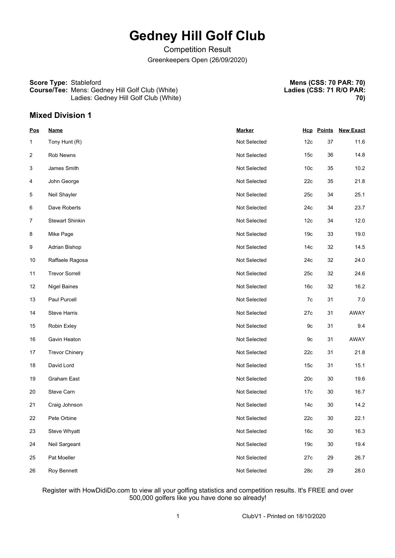# **Gedney Hill Golf Club**

Competition Result Greenkeepers Open (26/09/2020)

#### **Score Type:** Stableford **Course/Tee:** Mens: Gedney Hill Golf Club (White) Ladies: Gedney Hill Golf Club (White)

**Mens (CSS: 70 PAR: 70) Ladies (CSS: 71 R/O PAR: 70)**

## **Mixed Division 1**

| <b>Pos</b>     | <b>Name</b>            | <b>Marker</b> |                 | <b>Hcp</b> Points | <b>New Exact</b> |
|----------------|------------------------|---------------|-----------------|-------------------|------------------|
| $\mathbf 1$    | Tony Hunt (R)          | Not Selected  | 12c             | 37                | 11.6             |
| $\overline{2}$ | Rob Newns              | Not Selected  | 15c             | 36                | 14.8             |
| 3              | James Smith            | Not Selected  | 10 <sub>c</sub> | 35                | 10.2             |
| 4              | John George            | Not Selected  | 22c             | 35                | 21.8             |
| 5              | Neil Shayler           | Not Selected  | 25c             | 34                | 25.1             |
| 6              | Dave Roberts           | Not Selected  | 24c             | 34                | 23.7             |
| $\overline{7}$ | <b>Stewart Shinkin</b> | Not Selected  | 12 <sub>c</sub> | 34                | 12.0             |
| 8              | Mike Page              | Not Selected  | 19 <sub>c</sub> | 33                | 19.0             |
| 9              | Adrian Bishop          | Not Selected  | 14 <sub>c</sub> | 32                | 14.5             |
| 10             | Raffaele Ragosa        | Not Selected  | 24c             | 32                | 24.0             |
| 11             | <b>Trevor Sorrell</b>  | Not Selected  | 25c             | 32                | 24.6             |
| 12             | <b>Nigel Baines</b>    | Not Selected  | 16 <sub>c</sub> | 32                | 16.2             |
| 13             | Paul Purcell           | Not Selected  | 7c              | 31                | 7.0              |
| 14             | <b>Steve Harris</b>    | Not Selected  | 27c             | 31                | AWAY             |
| 15             | Robin Exley            | Not Selected  | 9c              | 31                | 9.4              |
| 16             | Gavin Heaton           | Not Selected  | 9c              | 31                | AWAY             |
| 17             | <b>Trevor Chinery</b>  | Not Selected  | 22c             | 31                | 21.8             |
| 18             | David Lord             | Not Selected  | 15 <sub>c</sub> | 31                | 15.1             |
| 19             | Graham East            | Not Selected  | 20c             | 30                | 19.6             |
| 20             | Steve Carn             | Not Selected  | 17c             | 30                | 16.7             |
| 21             | Craig Johnson          | Not Selected  | 14 <sub>c</sub> | 30                | 14.2             |
| 22             | Pete Orbine            | Not Selected  | 22c             | 30                | 22.1             |
| 23             | Steve Whyatt           | Not Selected  | 16c             | $30\,$            | 16.3             |
| 24             | Neil Sargeant          | Not Selected  | 19 <sub>c</sub> | $30\,$            | 19.4             |
| 25             | Pat Moeller            | Not Selected  | 27c             | 29                | 26.7             |
| 26             | Roy Bennett            | Not Selected  | 28c             | 29                | 28.0             |

Register with HowDidiDo.com to view all your golfing statistics and competition results. It's FREE and over 500,000 golfers like you have done so already!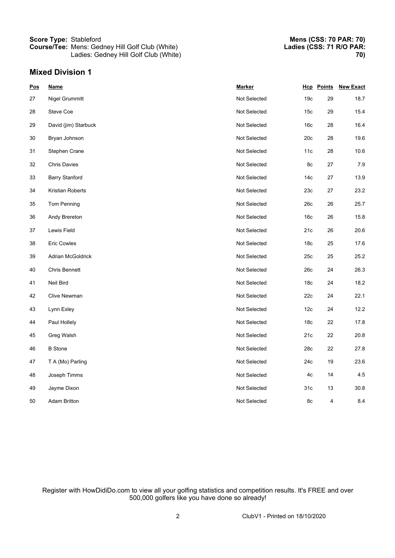### **Score Type:** Stableford **Course/Tee:** Mens: Gedney Hill Golf Club (White) Ladies: Gedney Hill Golf Club (White)

## **Mixed Division 1**

| Pos | <b>Name</b>           | <b>Marker</b> |                 | <b>Hcp</b> Points | <b>New Exact</b> |
|-----|-----------------------|---------------|-----------------|-------------------|------------------|
| 27  | Nigel Grummitt        | Not Selected  | 19 <sub>c</sub> | 29                | 18.7             |
| 28  | Steve Coe             | Not Selected  | 15 <sub>c</sub> | 29                | 15.4             |
| 29  | David (jim) Starbuck  | Not Selected  | 16c             | 28                | 16.4             |
| 30  | Bryan Johnson         | Not Selected  | 20c             | 28                | 19.6             |
| 31  | Stephen Crane         | Not Selected  | 11c             | 28                | 10.6             |
| 32  | <b>Chris Davies</b>   | Not Selected  | 8c              | 27                | 7.9              |
| 33  | <b>Barry Stanford</b> | Not Selected  | 14 <sub>c</sub> | 27                | 13.9             |
| 34  | Kristian Roberts      | Not Selected  | 23c             | 27                | 23.2             |
| 35  | Tom Penning           | Not Selected  | 26c             | 26                | 25.7             |
| 36  | Andy Brereton         | Not Selected  | 16 <sub>c</sub> | 26                | 15.8             |
| 37  | Lewis Field           | Not Selected  | 21c             | 26                | 20.6             |
| 38  | <b>Eric Cowles</b>    | Not Selected  | 18 <sub>c</sub> | 25                | 17.6             |
| 39  | Adrian McGoldrick     | Not Selected  | 25c             | 25                | 25.2             |
| 40  | <b>Chris Bennett</b>  | Not Selected  | 26c             | 24                | 26.3             |
| 41  | Neil Bird             | Not Selected  | 18 <sub>c</sub> | 24                | 18.2             |
| 42  | Clive Newman          | Not Selected  | 22c             | 24                | 22.1             |
| 43  | Lynn Exley            | Not Selected  | 12c             | 24                | 12.2             |
| 44  | Paul Hollely          | Not Selected  | 18c             | 22                | 17.8             |
| 45  | Greg Walsh            | Not Selected  | 21c             | 22                | 20.8             |
| 46  | <b>B</b> Stone        | Not Selected  | 28c             | 22                | 27.8             |
| 47  | T A (Mo) Parling      | Not Selected  | 24c             | 19                | 23.6             |
| 48  | Joseph Timms          | Not Selected  | 4c              | 14                | 4.5              |
| 49  | Jayme Dixon           | Not Selected  | 31c             | 13                | 30.8             |
| 50  | <b>Adam Britton</b>   | Not Selected  | 8c              | 4                 | 8.4              |

Register with HowDidiDo.com to view all your golfing statistics and competition results. It's FREE and over 500,000 golfers like you have done so already!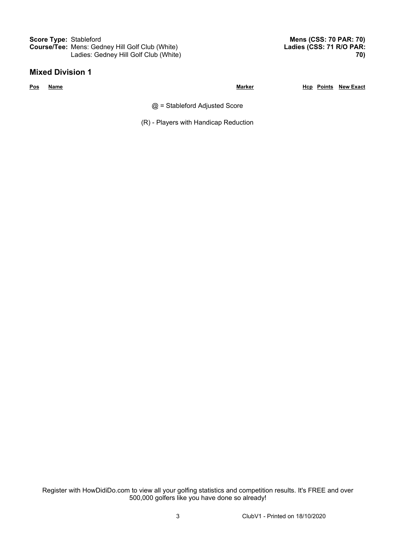**Score Type:** Stableford **Course/Tee:** Mens: Gedney Hill Golf Club (White) Ladies: Gedney Hill Golf Club (White)

### **Mixed Division 1**

**Mens (CSS: 70 PAR: 70) Ladies (CSS: 71 R/O PAR: 70)**

**Pos Name Marker Hcp Points New Exact**

 $@ =$  Stableford Adjusted Score

(R) - Players with Handicap Reduction

Register with HowDidiDo.com to view all your golfing statistics and competition results. It's FREE and over 500,000 golfers like you have done so already!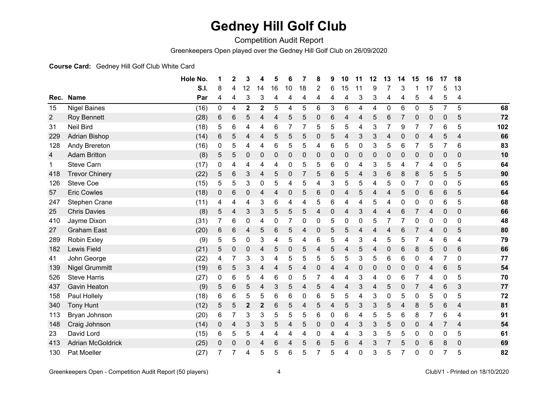## **Gedney Hill Golf Club**

Competition Audit Report

Greenkeepers Open played over the Gedney Hill Golf Club on 26/09/2020

#### **Course Card:** Gedney Hill Golf Club White Card

|                |                          | Hole No. | 1 | $\mathbf 2$ | 3                       | 4            | 5  | 6  | 7              | 8              | 9              | 10 | 11 | 12 | 13          | 14             | 15 | 16           | 17             | 18               |     |
|----------------|--------------------------|----------|---|-------------|-------------------------|--------------|----|----|----------------|----------------|----------------|----|----|----|-------------|----------------|----|--------------|----------------|------------------|-----|
|                |                          | S.I.     | 8 | 4           | 12                      | 14           | 16 | 10 | 18             | $\overline{2}$ | 6              | 15 | 11 | 9  |             | 3              |    | 17           | 5              | 13               |     |
|                | Rec. Name                | Par      | 4 | 4           | 3                       | 3            | 4  | 4  | 4              | 4              | 4              | 4  | 3  | 3  | 4           | 4              | 5  | 4            | 5              | 4                |     |
| 15             | <b>Nigel Baines</b>      | (16)     | 0 | 4           | $\overline{\mathbf{2}}$ | $\mathbf{2}$ | 5  | 4  | 5              | 6              | 3              | 6  | 4  | 4  | $\mathbf 0$ | 6              | 0  | 5            | $\overline{7}$ | 5                | 68  |
| $\overline{2}$ | Roy Bennett              | (28)     | 6 | 6           | 5                       | 4            | 4  | 5  | 5              | 0              | $6\phantom{1}$ | 4  | 4  | 5  | 6           | $\overline{7}$ | 0  | 0            | $\Omega$       | 5                | 72  |
| 31             | <b>Neil Bird</b>         | (18)     | 5 | 6           | 4                       | 4            | 6  | 7  |                | 5              | 5              | 5  | 4  | 3  | 7           | 9              |    | 7            | 6              | 5                | 102 |
| 229            | <b>Adrian Bishop</b>     | (14)     | 6 | 5           | 4                       | 4            | 5  | 5  | 5              | 0              | 5              | 4  | 3  | 3  | 4           | 0              | 0  | 4            | 5              | 4                | 66  |
| 128            | Andy Brereton            | (16)     | 0 | 5           | 4                       | 4            | 6  | 5  | 5              | 4              | 6              | 5  | 0  | 3  | 5           | 6              |    | 5            | $\overline{7}$ | 6                | 83  |
| 4              | <b>Adam Britton</b>      | (8)      | 5 | 5           | 0                       | $\mathbf{0}$ | 0  | 0  | 0              | 0              | 0              | 0  | 0  | 0  | 0           | 0              | 0  | 0            | 0              | $\boldsymbol{0}$ | 10  |
| 1              | <b>Steve Carn</b>        | (17)     | 0 | 4           | 4                       | 4            | 4  | 0  | 5              | 5              | 6              | 0  | 4  | 3  | 5           | 4              |    | 4            | 0              | 5                | 64  |
| 418            | <b>Trevor Chinery</b>    | (22)     | 5 | 6           | 3                       | 4            | 5  | 0  | $\overline{7}$ | 5              | $\,6$          | 5  | 4  | 3  | 6           | 8              | 8  | 5            | 5              | 5                | 90  |
| 126            | <b>Steve Coe</b>         | (15)     | 5 | 5           | 3                       | 0            | 5  | 4  | 5              | 4              | 3              | 5  | 5  | 4  | 5           | 0              |    | 0            | 0              | 5                | 65  |
| 57             | <b>Eric Cowles</b>       | (18)     | 0 | 6           | 0                       | 4            | 4  | 0  | 5              | 6              | $\pmb{0}$      | 4  | 5  | 4  | 4           | 5              | 0  | 6            | 6              | 5                | 64  |
| 247            | Stephen Crane            | (11)     | 4 | 4           | 4                       | 3            | 6  | 4  | 4              | 5              | 6              | 4  | 4  | 5  | 4           | 0              | 0  | 0            | 6              | 5                | 68  |
| 25             | <b>Chris Davies</b>      | (8)      | 5 | 4           | 3                       | 3            | 5  | 5  | 5              | 4              | $\pmb{0}$      | 4  | 3  | 4  | 4           | 6              |    | 4            | 0              | $\mathbf 0$      | 66  |
| 410            | Jayme Dixon              | (31)     | 7 | 6           | 0                       | 4            | 0  | 7  | 0              | 0              | 5              | 0  | 0  | 5  | 7           | 7              | 0  | $\mathbf{0}$ | 0              | 0                | 48  |
| 27             | <b>Graham East</b>       | (20)     | 6 | 6           | 4                       | 5            | 6  | 5  | 4              | 0              | 5              | 5  | 4  | 4  | 4           | 6              |    | 4            | 0              | 5                | 80  |
| 289            | Robin Exley              | (9)      | 5 | 5           | 0                       | 3            | 4  | 5  | 4              | 6              | 5              | 4  | 3  | 4  | 5           | 5              |    | 4            | 6              | 4                | 79  |
| 182            | Lewis Field              | (21)     | 5 | 0           | 0                       | 4            | 5  | 0  | 5              | 4              | 5              | 4  | 5  | 4  | 0           | 6              | 8  | 5            | $\mathbf 0$    | 6                | 66  |
| 41             | John George              | (22)     | 4 | 7           | 3                       | 3            | 4  | 5  | 5              | 5              | 5              | 5  | 3  | 5  | 6           | 6              | 0  | 4            | $\overline{7}$ | 0                | 77  |
| 139            | <b>Nigel Grummitt</b>    | (19)     | 6 | 5           | 3                       | 4            | 4  | 5  | 4              | 0              | 4              | 4  | 0  | 0  | 0           | 0              | 0  | 4            | 6              | 5                | 54  |
| 526            | <b>Steve Harris</b>      | (27)     | 0 | 6           | 5                       | 4            | 6  | 0  | 5              | 7              | 4              | 4  | 3  | 4  | 0           | 6              |    | 4            | 0              | 5                | 70  |
| 437            | <b>Gavin Heaton</b>      | (9)      | 5 | 6           | 5                       | 4            | 3  | 5  | 4              | 5              | 4              | 4  | 3  | 4  | 5           | 0              |    | 4            | 6              | 3                | 77  |
| 158            | Paul Hollely             | (18)     | 6 | 6           | 5                       | 5            | 6  | 6  | 0              | 6              | 5              | 5  | 4  | 3  | 0           | 5              | 0  | 5            | 0              | 5                | 72  |
| 340            | <b>Tony Hunt</b>         | (12)     | 5 | 5           | $\mathbf 2$             | 2            | 6  | 5  | 4              | 5              | 4              | 5  | 3  | 3  | 5           | 4              | 8  | 5            | 6              | 4                | 81  |
| 113            | Bryan Johnson            | (20)     | 6 | 7           | 3                       | 3            | 5  | 5  | 5              | 6              | 0              | 6  | 4  | 5  | 5           | 6              | 8  | 7            | 6              | 4                | 91  |
| 148            | Craig Johnson            | (14)     | 0 | 4           | 3                       | 3            | 5  | 4  | 5              | 0              | 0              | 4  | 3  | 3  | 5           | 0              | 0  | 4            | $\overline{7}$ | 4                | 54  |
| 23             | David Lord               | (15)     | 6 | 5           | 5                       | 4            | 4  | 4  | 4              | 0              | 4              | 4  | 3  | 3  | 5           | 5              | 0  | 0            | 0              | 5                | 61  |
| 413            | <b>Adrian McGoldrick</b> | (25)     | 0 | 0           | 0                       | 4            | 6  |    | 5              | 6              | 5              | 6  | 4  | 3  | 7           | 5              | 0  | 6            | 8              | $\mathbf 0$      | 69  |
| 130            | Pat Moeller              | (27)     | 7 |             | 4                       | 5            | 5  | 6  | 5              | 7              | 5              | 4  | 0  | 3  | 5           | 7              | 0  | 0            | $\overline{7}$ | 5                | 82  |